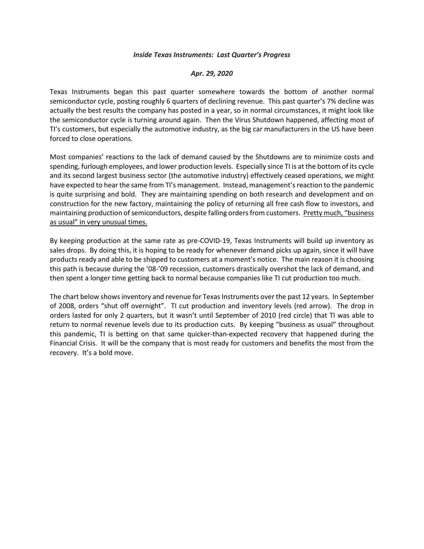## *Inside Texas Instruments: Last Quarter's Progress*

## *Apr. 29, 2020*

Texas Instruments began this past quarter somewhere towards the bottom of another normal semiconductor cycle, posting roughly 6 quarters of declining revenue. This past quarter's 7% decline was actually the best results the company has posted in a year, so in normal circumstances, it might look like the semiconductor cycle is turning around again. Then the Virus Shutdown happened, affecting most of TI's customers, but especially the automotive industry, as the big car manufacturers in the US have been forced to close operations.

Most companies' reactions to the lack of demand caused by the Shutdowns are to minimize costs and spending, furlough employees, and lower production levels. Especially since TI is at the bottom of its cycle and its second largest business sector (the automotive industry) effectively ceased operations, we might have expected to hear the same from TI's management. Instead, management's reaction to the pandemic is quite surprising and bold. They are maintaining spending on both research and development and on construction for the new factory, maintaining the policy of returning all free cash flow to investors, and maintaining production of semiconductors, despite falling orders from customers. Pretty much, "business as usual" in very unusual times.

By keeping production at the same rate as pre-COVID-19, Texas Instruments will build up inventory as sales drops. By doing this, it is hoping to be ready for whenever demand picks up again, since it will have products ready and able to be shipped to customers at a moment's notice. The main reason it is choosing this path is because during the '08-'09 recession, customers drastically overshot the lack of demand, and then spent a longer time getting back to normal because companies like TI cut production too much.

The chart below shows inventory and revenue for Texas Instruments over the past 12 years. In September of 2008, orders "shut off overnight". TI cut production and inventory levels (red arrow). The drop in orders lasted for only 2 quarters, but it wasn't until September of 2010 (red circle) that TI was able to return to normal revenue levels due to its production cuts. By keeping "business as usual" throughout this pandemic, TI is betting on that same quicker-than-expected recovery that happened during the Financial Crisis. It will be the company that is most ready for customers and benefits the most from the recovery. It's a bold move.